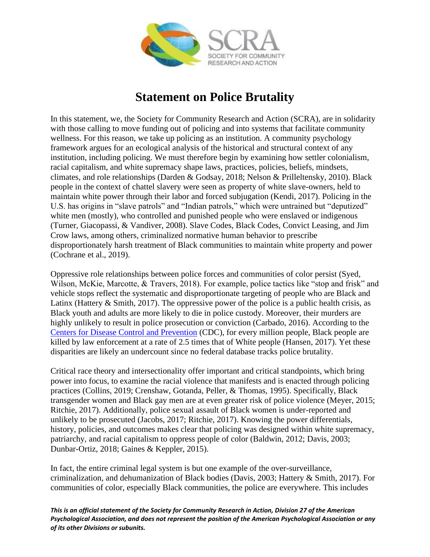

## **Statement on Police Brutality**

In this statement, we, the Society for Community Research and Action (SCRA), are in solidarity with those calling to move funding out of policing and into systems that facilitate community wellness. For this reason, we take up policing as an institution. A community psychology framework argues for an ecological analysis of the historical and structural context of any institution, including policing. We must therefore begin by examining how settler colonialism, racial capitalism, and white supremacy shape laws, practices, policies, beliefs, mindsets, climates, and role relationships (Darden & Godsay, 2018; Nelson & Prilleltensky, 2010). Black people in the context of chattel slavery were seen as property of white slave-owners, held to maintain white power through their labor and forced subjugation (Kendi, 2017). Policing in the U.S. has origins in "slave patrols" and "Indian patrols," which were untrained but "deputized" white men (mostly), who controlled and punished people who were enslaved or indigenous (Turner, Giacopassi, & Vandiver, 2008). Slave Codes, Black Codes, Convict Leasing, and Jim Crow laws, among others, criminalized normative human behavior to prescribe disproportionately harsh treatment of Black communities to maintain white property and power (Cochrane et al., 2019).

Oppressive role relationships between police forces and communities of color persist (Syed, Wilson, McKie, Marcotte, & Travers, 2018). For example, police tactics like "stop and frisk" and vehicle stops reflect the systematic and disproportionate targeting of people who are Black and Latinx (Hattery  $&$  Smith, 2017). The oppressive power of the police is a public health crisis, as Black youth and adults are more likely to die in police custody. Moreover, their murders are highly unlikely to result in police prosecution or conviction (Carbado, 2016). According to th[e](https://www.cnn.com/2017/11/10/us/native-lives-matter/index.html) [Centers for Disease Control and Prevention](https://www.cnn.com/2017/11/10/us/native-lives-matter/index.html) (CDC), for every million people, Black people are killed by law enforcement at a rate of 2.5 times that of White people (Hansen, 2017). Yet these disparities are likely an undercount since no federal database tracks police brutality.

Critical race theory and intersectionality offer important and critical standpoints, which bring power into focus, to examine the racial violence that manifests and is enacted through policing practices (Collins, 2019; Crenshaw, Gotanda, Peller, & Thomas, 1995). Specifically, Black transgender women and Black gay men are at even greater risk of police violence (Meyer, 2015; Ritchie, 2017). Additionally, police sexual assault of Black women is under-reported and unlikely to be prosecuted (Jacobs, 2017; Ritchie, 2017). Knowing the power differentials, history, policies, and outcomes makes clear that policing was designed within white supremacy, patriarchy, and racial capitalism to oppress people of color (Baldwin, 2012; Davis, 2003; Dunbar-Ortiz, 2018; Gaines & Keppler, 2015).

In fact, the entire criminal legal system is but one example of the over-surveillance, criminalization, and dehumanization of Black bodies (Davis, 2003; Hattery & Smith, 2017). For communities of color, especially Black communities, the police are everywhere. This includes

*This is an official statement of the Society for Community Research in Action, Division 27 of the American Psychological Association, and does not represent the position of the American Psychological Association or any of its other Divisions or subunits.*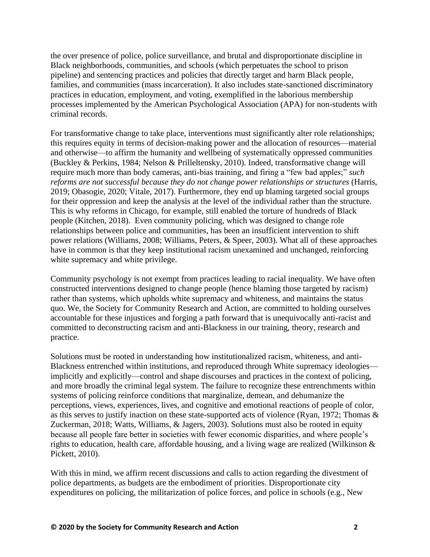the over presence of police, police surveillance, and brutal and disproportionate discipline in Black neighborhoods, communities, and schools (which perpetuates the school to prison pipeline) and sentencing practices and policies that directly target and harm Black people, families, and communities (mass incarceration). It also includes state-sanctioned discriminatory practices in education, employment, and voting, exemplified in the laborious membership processes implemented by the American Psychological Association (APA) for non-students with criminal records.

For transformative change to take place, interventions must significantly alter role relationships; this requires equity in terms of decision-making power and the allocation of resources—material and otherwise—to affirm the humanity and wellbeing of systematically oppressed communities (Buckley & Perkins, 1984; Nelson & Prilleltensky, 2010). Indeed, transformative change will require much more than body cameras, anti-bias training, and firing a "few bad apples;" *such reforms are not successful because they do not change power relationships or structures* (Harris, 2019; Obasogie, 2020; Vitale, 2017). Furthermore, they end up blaming targeted social groups for their oppression and keep the analysis at the level of the individual rather than the structure. This is why reforms in Chicago, for example, still enabled the torture of hundreds of Black people (Kitchen, 2018). Even community policing, which was designed to change role relationships between police and communities, has been an insufficient intervention to shift power relations (Williams, 2008; Williams, Peters, & Speer, 2003). What all of these approaches have in common is that they keep institutional racism unexamined and unchanged, reinforcing white supremacy and white privilege.

Community psychology is not exempt from practices leading to racial inequality. We have often constructed interventions designed to change people (hence blaming those targeted by racism) rather than systems, which upholds white supremacy and whiteness, and maintains the status quo. We, the Society for Community Research and Action, are committed to holding ourselves accountable for these injustices and forging a path forward that is unequivocally anti-racist and committed to deconstructing racism and anti-Blackness in our training, theory, research and practice.

Solutions must be rooted in understanding how institutionalized racism, whiteness, and anti-Blackness entrenched within institutions, and reproduced through White supremacy ideologies implicitly and explicitly—control and shape discourses and practices in the context of policing, and more broadly the criminal legal system. The failure to recognize these entrenchments within systems of policing reinforce conditions that marginalize, demean, and dehumanize the perceptions, views, experiences, lives, and cognitive and emotional reactions of people of color, as this serves to justify inaction on these state-supported acts of violence (Ryan, 1972; Thomas & Zuckerman, 2018; Watts, Williams, & Jagers, 2003). Solutions must also be rooted in equity because all people fare better in societies with fewer economic disparities, and where people's rights to education, health care, affordable housing, and a living wage are realized (Wilkinson & Pickett, 2010).

With this in mind, we affirm recent discussions and calls to action regarding the divestment of police departments, as budgets are the embodiment of priorities. Disproportionate city expenditures on policing, the militarization of police forces, and police in schools (e.g., New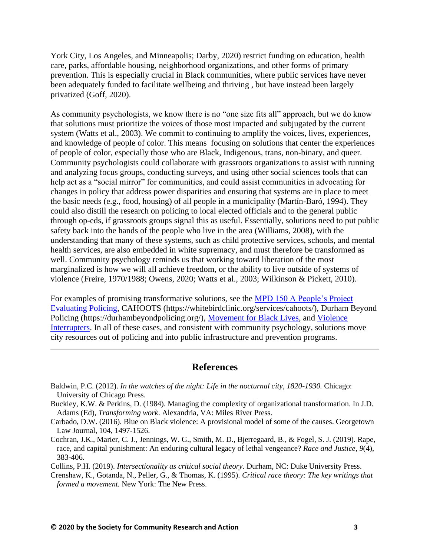York City, Los Angeles, and Minneapolis; Darby, 2020) restrict funding on education, health care, parks, affordable housing, neighborhood organizations, and other forms of primary prevention. This is especially crucial in Black communities, where public services have never been adequately funded to facilitate wellbeing and thriving , but have instead been largely privatized (Goff, 2020).

As community psychologists, we know there is no "one size fits all" approach, but we do know that solutions must prioritize the voices of those most impacted and subjugated by the current system (Watts et al., 2003). We commit to continuing to amplify the voices, lives, experiences, and knowledge of people of color. This means focusing on solutions that center the experiences of people of color, especially those who are Black, Indigenous, trans, non-binary, and queer. Community psychologists could collaborate with grassroots organizations to assist with running and analyzing focus groups, conducting surveys, and using other social sciences tools that can help act as a "social mirror" for communities, and could assist communities in advocating for changes in policy that address power disparities and ensuring that systems are in place to meet the basic needs (e.g., food, housing) of all people in a municipality (Martín-Baró, 1994). They could also distill the research on policing to local elected officials and to the general public through op-eds, if grassroots groups signal this as useful. Essentially, solutions need to put public safety back into the hands of the people who live in the area (Williams, 2008), with the understanding that many of these systems, such as child protective services, schools, and mental health services, are also embedded in white supremacy, and must therefore be transformed as well. Community psychology reminds us that working toward liberation of the most marginalized is how we will all achieve freedom, or the ability to live outside of systems of violence (Freire, 1970/1988; Owens, 2020; Watts et al., 2003; Wilkinson & Pickett, 2010).

For examples of promising transformative solutions, see the [MPD 150 A People's Project](https://www.mpd150.com/)  [Evaluating Policing,](https://www.mpd150.com/) CAHOOTS (https://whitebirdclinic.org/services/cahoots/), Durham Beyond Policing (https://durhambeyondpolicing.org/), [Movement for Black Lives,](https://m4bl.org/) and [Violence](https://www.violenceinterrupters.org/)  [Interrupters.](https://www.violenceinterrupters.org/) In all of these cases, and consistent with community psychology, solutions move city resources out of policing and into public infrastructure and prevention programs.

## **References**

- Baldwin, P.C. (2012). *In the watches of the night: Life in the nocturnal city, 1820-1930.* Chicago: University of Chicago Press.
- Buckley, K.W. & Perkins, D. (1984). Managing the complexity of organizational transformation. In J.D. Adams (Ed), *Transforming work*. Alexandria, VA: Miles River Press.
- Carbado, D.W. (2016). Blue on Black violence: A provisional model of some of the causes. Georgetown Law Journal, 104, 1497-1526.
- Cochran, J.K., Marier, C. J., Jennings, W. G., Smith, M. D., Bjerregaard, B., & Fogel, S. J. (2019). Rape, race, and capital punishment: An enduring cultural legacy of lethal vengeance? *Race and Justice*, *9*(4), 383-406.

Collins, P.H. (2019). *Intersectionality as critical social theory*. Durham, NC: Duke University Press.

Crenshaw, K., Gotanda, N., Peller, G., & Thomas, K. (1995). *Critical race theory: The key writings that formed a movement.* New York: The New Press.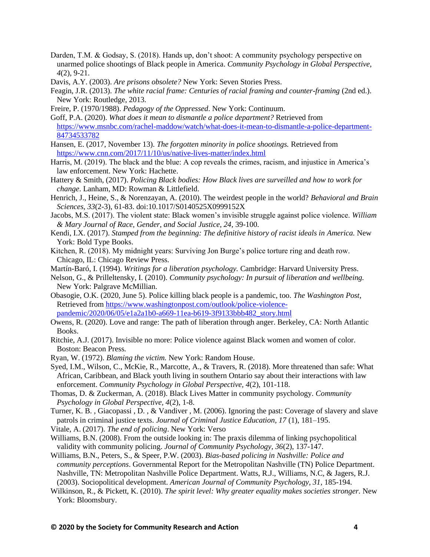- Darden, T.M. & Godsay, S. (2018). Hands up, don't shoot: A community psychology perspective on unarmed police shootings of Black people in America. *Community Psychology in Global Perspective, 4*(2), 9-21.
- Davis, A.Y. (2003). *Are prisons obsolete?* New York: Seven Stories Press.
- Feagin, J.R. (2013). *The white racial frame: Centuries of racial framing and counter-framing* (2nd ed.). New York: Routledge, 2013.
- Freire, P. (1970/1988). *Pedagogy of the Oppressed*. New York: Continuum.
- Goff, P.A. (2020). *What does it mean to dismantle a police department?* Retrieved from [https://www.msnbc.com/rachel-maddow/watch/what-does-it-mean-to-dismantle-a-police-department-](https://www.msnbc.com/rachel-maddow/watch/what-does-it-mean-to-dismantle-a-police-department-84734533782)[84734533782](https://www.msnbc.com/rachel-maddow/watch/what-does-it-mean-to-dismantle-a-police-department-84734533782)
- Hansen, E. (2017, November 13). *The forgotten minority in police shootings.* Retrieved from <https://www.cnn.com/2017/11/10/us/native-lives-matter/index.html>
- Harris, M. (2019). The black and the blue: A cop reveals the crimes, racism, and injustice in America's law enforcement. New York: Hachette.
- Hattery & Smith, (2017). *Policing Black bodies: How Black lives are surveilled and how to work for change*. Lanham, MD: Rowman & Littlefield.
- Henrich, J., Heine, S., & Norenzayan, A. (2010). The weirdest people in the world? *Behavioral and Brain Sciences, 33*(2-3), 61-83. doi:10.1017/S0140525X0999152X
- Jacobs, M.S. (2017). The violent state: Black women's invisible struggle against police violence. *William & Mary Journal of Race, Gender, and Social Justice, 24*, 39-100.
- Kendi, I.X. (2017). *Stamped from the beginning: The definitive history of racist ideals in America.* New York: Bold Type Books.
- Kitchen, R. (2018). My midnight years: Surviving Jon Burge's police torture ring and death row. Chicago, IL: Chicago Review Press.
- Martín-Baró, I. (1994). *Writings for a liberation psychology.* Cambridge: Harvard University Press.
- Nelson, G., & Prilleltensky, I. (2010). *Community psychology: In pursuit of liberation and wellbeing.*  New York: Palgrave McMillian.
- Obasogie, O.K. (2020, June 5). Police killing black people is a pandemic, too. *The Washington Post*, Retrieved from [https://www.washingtonpost.com/outlook/police-violence](https://www.washingtonpost.com/outlook/police-violence-pandemic/2020/06/05/e1a2a1b0-a669-11ea-b619-3f9133bbb482_story.html)[pandemic/2020/06/05/e1a2a1b0-a669-11ea-b619-3f9133bbb482\\_story.html](https://www.washingtonpost.com/outlook/police-violence-pandemic/2020/06/05/e1a2a1b0-a669-11ea-b619-3f9133bbb482_story.html)
- Owens, R. (2020). Love and range: The path of liberation through anger. Berkeley, CA: North Atlantic Books.
- Ritchie, A.J. (2017). Invisible no more: Police violence against Black women and women of color. Boston: Beacon Press.
- Ryan, W. (1972). *Blaming the victim.* New York: Random House.
- Syed, I.M., Wilson, C., McKie, R., Marcotte, A., & Travers, R. (2018). More threatened than safe: What African, Caribbean, and Black youth living in southern Ontario say about their interactions with law enforcement. *Community Psychology in Global Perspective, 4*(2), 101-118.
- Thomas, D. & Zuckerman, A. (2018). Black Lives Matter in community psychology. *Community Psychology in Global Perspective, 4*(2), 1-8.
- Turner, K. B. , Giacopassi , D. , & Vandiver , M. (2006). Ignoring the past: Coverage of slavery and slave patrols in criminal justice texts. *Journal of Criminal Justice Education, 17* (1), 181–195.
- Vitale, A. (2017). *The end of policing*. New York: Verso
- Williams, B.N. (2008). From the outside looking in: The praxis dilemma of linking psychopolitical validity with community policing. *Journal of Community Psychology, 36*(2), 137-147.
- Williams, B.N., Peters, S., & Speer, P.W. (2003). *Bias-based policing in Nashville: Police and community perceptions*. Governmental Report for the Metropolitan Nashville (TN) Police Department. Nashville, TN: Metropolitan Nashville Police Department. Watts, R.J., Williams, N.C, & Jagers, R.J. (2003). Sociopolitical development. *American Journal of Community Psychology, 31,* 185-194.
- Wilkinson, R., & Pickett, K. (2010). *The spirit level: Why greater equality makes societies stronger.* New York: Bloomsbury.